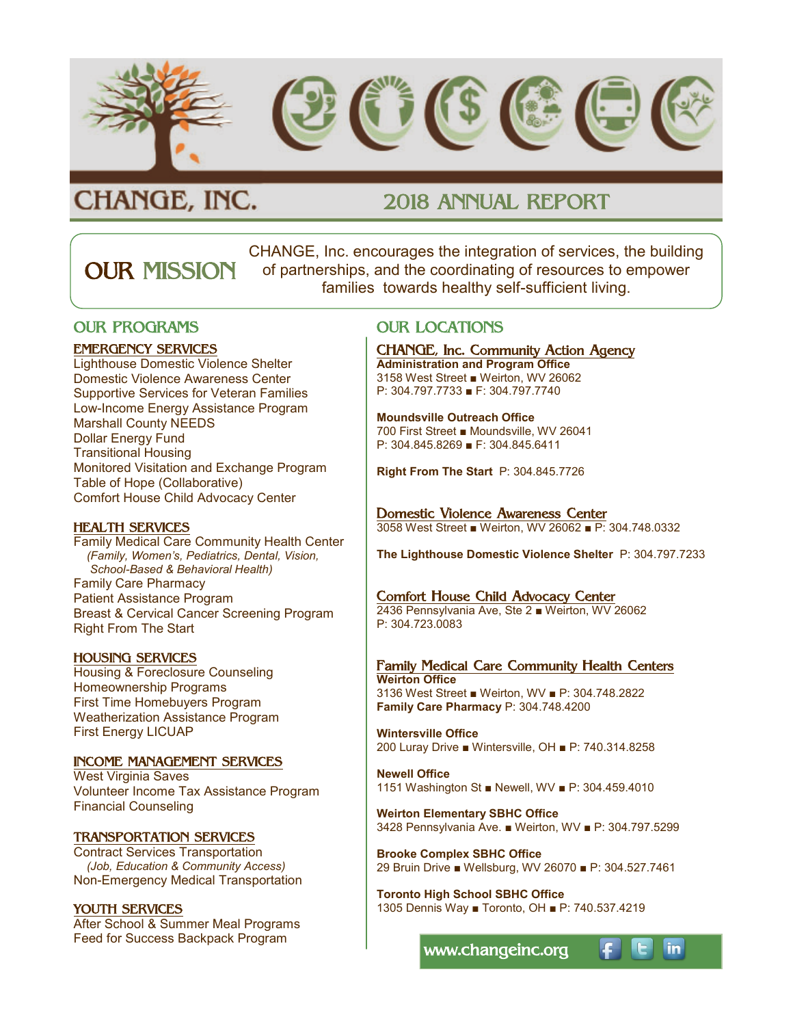

# CHANGE, INC.

# 2018 ANNUAL REPORT

CHANGE, Inc. encourages the integration of services, the building of partnerships, and the coordinating of resources to empower families towards healthy self-sufficient living. OUR MISSION

### OUR PROGRAMS

### EMERGENCY SERVICES

Lighthouse Domestic Violence Shelter Domestic Violence Awareness Center Supportive Services for Veteran Families Low-Income Energy Assistance Program Marshall County NEEDS Dollar Energy Fund Transitional Housing Monitored Visitation and Exchange Program Table of Hope (Collaborative) Comfort House Child Advocacy Center

### HEALTH SERVICES

Family Medical Care Community Health Center  *(Family, Women's, Pediatrics, Dental, Vision, School-Based & Behavioral Health)* Family Care Pharmacy Patient Assistance Program Breast & Cervical Cancer Screening Program Right From The Start

### HOUSING SERVICES

Housing & Foreclosure Counseling Homeownership Programs First Time Homebuyers Program Weatherization Assistance Program First Energy LICUAP

### INCOME MANAGEMENT SERVICES

West Virginia Saves Volunteer Income Tax Assistance Program Financial Counseling

### TRANSPORTATION SERVICES

Contract Services Transportation *(Job, Education & Community Access)* Non-Emergency Medical Transportation

### YOUTH SERVICES

After School & Summer Meal Programs Feed for Success Backpack Program

### OUR LOCATIONS

CHANGE, Inc. Community Action Agency

**Administration and Program Office** 3158 West Street ■ Weirton, WV 26062 P: 304.797.7733 ■ F: 304.797.7740

#### **Moundsville Outreach Office** 700 First Street ■ Moundsville, WV 26041 P: 304.845.8269 ■ F: 304.845.6411

**Right From The Start** P: 304.845.7726

#### Domestic Violence Awareness Center 3058 West Street ■ Weirton, WV 26062 ■ P: 304.748.0332

**The Lighthouse Domestic Violence Shelter** P: 304.797.7233

### Comfort House Child Advocacy Center

2436 Pennsylvania Ave, Ste 2 ■ Weirton, WV 26062 P: 304.723.0083

Family Medical Care Community Health Centers **Weirton Office** 3136 West Street ■ Weirton, WV ■ P: 304.748.2822 **Family Care Pharmacy** P: 304.748.4200

**Wintersville Office** 200 Luray Drive ■ Wintersville, OH ■ P: 740.314.8258

**Newell Office** 1151 Washington St ■ Newell, WV ■ P: 304.459.4010

**Weirton Elementary SBHC Office** 3428 Pennsylvania Ave. ■ Weirton, WV ■ P: 304.797.5299

**Brooke Complex SBHC Office** 29 Bruin Drive ■ Wellsburg, WV 26070 ■ P: 304.527.7461

**Toronto High School SBHC Office** 1305 Dennis Way ■ Toronto, OH ■ P: 740.537.4219

www.changeinc.org

in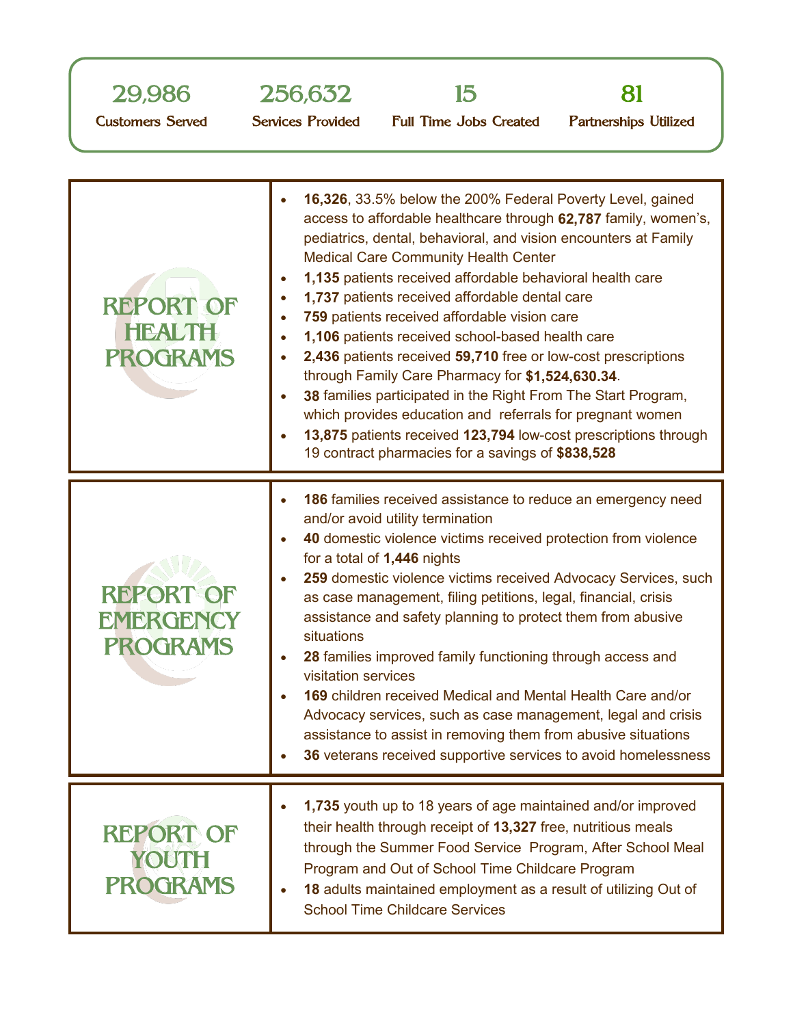







Customers Served

Services Provided Full Time Jobs Created

Partnerships Utilized

| <b>REPORT OF</b><br><b>HEALTH</b><br><b>PROGRAMS</b>    | 16,326, 33.5% below the 200% Federal Poverty Level, gained<br>$\bullet$<br>access to affordable healthcare through 62,787 family, women's,<br>pediatrics, dental, behavioral, and vision encounters at Family<br><b>Medical Care Community Health Center</b><br>1,135 patients received affordable behavioral health care<br>$\bullet$<br>1,737 patients received affordable dental care<br>$\bullet$<br>759 patients received affordable vision care<br>1,106 patients received school-based health care<br>$\bullet$<br>2,436 patients received 59,710 free or low-cost prescriptions<br>$\bullet$<br>through Family Care Pharmacy for \$1,524,630.34.<br>38 families participated in the Right From The Start Program,<br>$\bullet$<br>which provides education and referrals for pregnant women<br>13,875 patients received 123,794 low-cost prescriptions through<br>$\bullet$<br>19 contract pharmacies for a savings of \$838,528 |
|---------------------------------------------------------|------------------------------------------------------------------------------------------------------------------------------------------------------------------------------------------------------------------------------------------------------------------------------------------------------------------------------------------------------------------------------------------------------------------------------------------------------------------------------------------------------------------------------------------------------------------------------------------------------------------------------------------------------------------------------------------------------------------------------------------------------------------------------------------------------------------------------------------------------------------------------------------------------------------------------------------|
| <b>REPORT OF</b><br><b>EMERGENCY</b><br><b>PROGRAMS</b> | 186 families received assistance to reduce an emergency need<br>$\bullet$<br>and/or avoid utility termination<br>40 domestic violence victims received protection from violence<br>$\bullet$<br>for a total of 1,446 nights<br>259 domestic violence victims received Advocacy Services, such<br>$\bullet$<br>as case management, filing petitions, legal, financial, crisis<br>assistance and safety planning to protect them from abusive<br>situations<br>28 families improved family functioning through access and<br>$\bullet$<br>visitation services<br>169 children received Medical and Mental Health Care and/or<br>$\bullet$<br>Advocacy services, such as case management, legal and crisis<br>assistance to assist in removing them from abusive situations<br>36 veterans received supportive services to avoid homelessness                                                                                               |
| <b>REPORT OF</b><br>YOUTH<br><b>PROGRAMS</b>            | 1,735 youth up to 18 years of age maintained and/or improved<br>$\bullet$<br>their health through receipt of 13,327 free, nutritious meals<br>through the Summer Food Service Program, After School Meal<br>Program and Out of School Time Childcare Program<br>18 adults maintained employment as a result of utilizing Out of<br><b>School Time Childcare Services</b>                                                                                                                                                                                                                                                                                                                                                                                                                                                                                                                                                                 |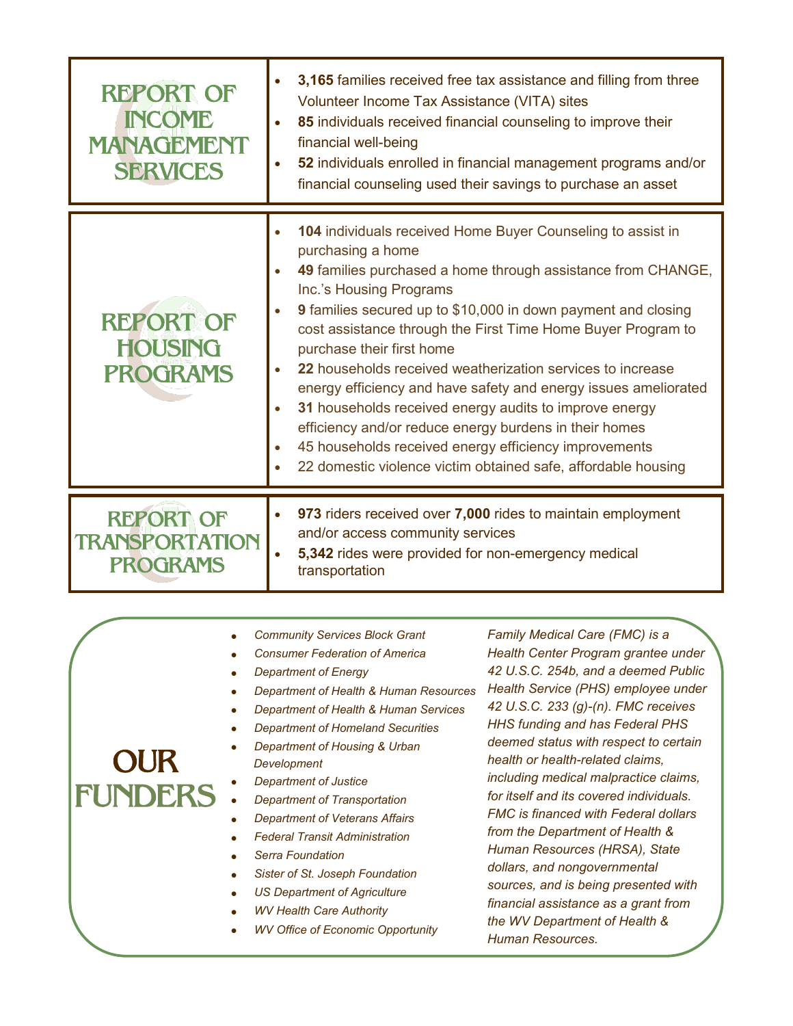| <b>REPORT OF</b><br><b>INCOME</b><br>MANAGEMENT<br><b>SERVICES</b> | 3,165 families received free tax assistance and filling from three<br>Volunteer Income Tax Assistance (VITA) sites<br>85 individuals received financial counseling to improve their<br>financial well-being<br>52 individuals enrolled in financial management programs and/or<br>financial counseling used their savings to purchase an asset                                                                                                                                                                                                                                                                                                                                                                           |                                                                                                                                                                                                                                                                                                                                                                                                                                                                                                                                                                                           |  |
|--------------------------------------------------------------------|--------------------------------------------------------------------------------------------------------------------------------------------------------------------------------------------------------------------------------------------------------------------------------------------------------------------------------------------------------------------------------------------------------------------------------------------------------------------------------------------------------------------------------------------------------------------------------------------------------------------------------------------------------------------------------------------------------------------------|-------------------------------------------------------------------------------------------------------------------------------------------------------------------------------------------------------------------------------------------------------------------------------------------------------------------------------------------------------------------------------------------------------------------------------------------------------------------------------------------------------------------------------------------------------------------------------------------|--|
| <b>REPORT OF</b><br><b>HOUSING</b><br><b>PROGRAMS</b>              | 104 individuals received Home Buyer Counseling to assist in<br>purchasing a home<br>49 families purchased a home through assistance from CHANGE,<br>Inc.'s Housing Programs<br>9 families secured up to \$10,000 in down payment and closing<br>cost assistance through the First Time Home Buyer Program to<br>purchase their first home<br>22 households received weatherization services to increase<br>energy efficiency and have safety and energy issues ameliorated<br>31 households received energy audits to improve energy<br>efficiency and/or reduce energy burdens in their homes<br>45 households received energy efficiency improvements<br>22 domestic violence victim obtained safe, affordable housing |                                                                                                                                                                                                                                                                                                                                                                                                                                                                                                                                                                                           |  |
| <b>REPORT OF</b><br><b>TRANSPORTATION</b><br><b>PROGRAMS</b>       | 973 riders received over 7,000 rides to maintain employment<br>and/or access community services<br>5,342 rides were provided for non-emergency medical<br>transportation                                                                                                                                                                                                                                                                                                                                                                                                                                                                                                                                                 |                                                                                                                                                                                                                                                                                                                                                                                                                                                                                                                                                                                           |  |
| <b>OUR</b><br><b>FUNDERS</b>                                       | <b>Community Services Block Grant</b><br><b>Consumer Federation of America</b><br><b>Department of Energy</b><br>Department of Health & Human Resources<br>Department of Health & Human Services<br><b>Department of Homeland Securities</b><br>Department of Housing & Urban<br>Development<br><b>Department of Justice</b><br><b>Department of Transportation</b><br><b>Department of Veterans Affairs</b><br><b>Federal Transit Administration</b><br><b>Serra Foundation</b><br>Sister of St. Joseph Foundation<br><b>US Denartment of Agriculture</b>                                                                                                                                                               | Family Medical Care (FMC) is a<br>Health Center Program grantee under<br>42 U.S.C. 254b, and a deemed Public<br>Health Service (PHS) employee under<br>42 U.S.C. 233 (g)-(n). FMC receives<br>HHS funding and has Federal PHS<br>deemed status with respect to certain<br>health or health-related claims,<br>including medical malpractice claims,<br>for itself and its covered individuals.<br><b>FMC</b> is financed with Federal dollars<br>from the Department of Health &<br>Human Resources (HRSA), State<br>dollars, and nongovernmental<br>sources, and is being presented with |  |

- *US Department of Agriculture*
- *WV Health Care Authority*
- *WV Office of Economic Opportunity*

*financial assistance as a grant from the WV Department of Health &* 

*Human Resources.*